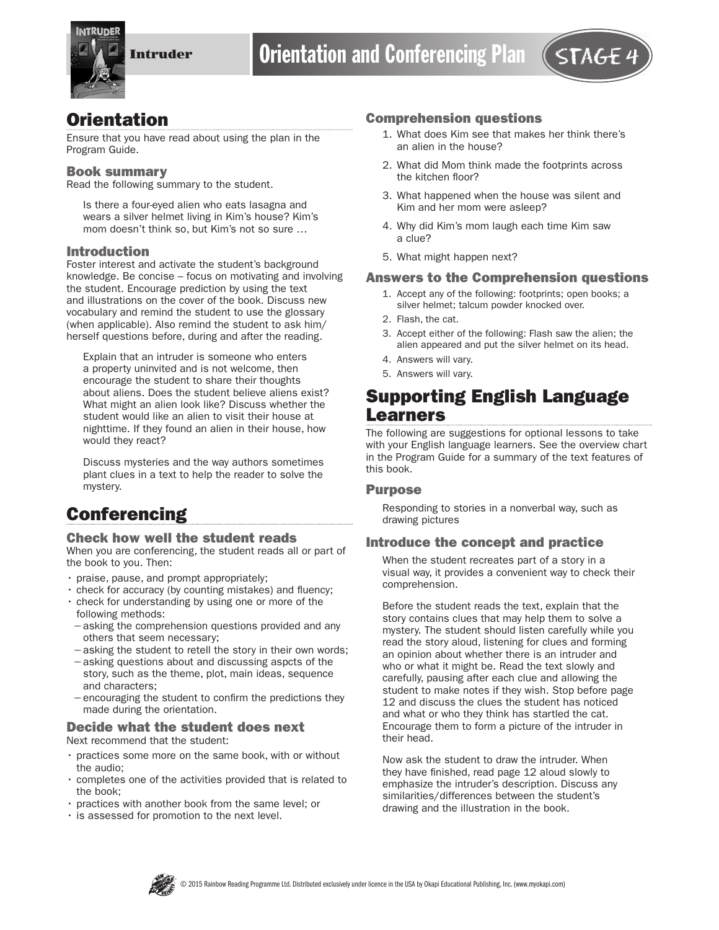

## **Orientation**

Ensure that you have read about using the plan in the Program Guide.

#### Book summary

Read the following summary to the student.

Is there a four-eyed alien who eats lasagna and wears a silver helmet living in Kim's house? Kim's mom doesn't think so, but Kim's not so sure …

#### Introduction

Foster interest and activate the student's background knowledge. Be concise – focus on motivating and involving the student. Encourage prediction by using the text and illustrations on the cover of the book. Discuss new vocabulary and remind the student to use the glossary (when applicable). Also remind the student to ask him/ herself questions before, during and after the reading.

Explain that an intruder is someone who enters a property uninvited and is not welcome, then encourage the student to share their thoughts about aliens. Does the student believe aliens exist? What might an alien look like? Discuss whether the student would like an alien to visit their house at nighttime. If they found an alien in their house, how would they react?

Discuss mysteries and the way authors sometimes plant clues in a text to help the reader to solve the mystery.

# **Conferencing**

#### Check how well the student reads

When you are conferencing, the student reads all or part of the book to you. Then:

- praise, pause, and prompt appropriately;
- check for accuracy (by counting mistakes) and fluency;
- check for understanding by using one or more of the following methods:
- −asking the comprehension questions provided and any others that seem necessary;
- −asking the student to retell the story in their own words;
- −asking questions about and discussing aspcts of the story, such as the theme, plot, main ideas, sequence and characters;
- −encouraging the student to confirm the predictions they made during the orientation.

### Decide what the student does next

Next recommend that the student:

- practices some more on the same book, with or without the audio;
- completes one of the activities provided that is related to the book;
- practices with another book from the same level; or
- is assessed for promotion to the next level.

#### Comprehension questions

- 1. What does Kim see that makes her think there's an alien in the house?
- 2. What did Mom think made the footprints across the kitchen floor?
- 3. What happened when the house was silent and Kim and her mom were asleep?
- 4. Why did Kim's mom laugh each time Kim saw a clue?
- 5. What might happen next?

#### Answers to the Comprehension questions

- 1. Accept any of the following: footprints; open books; a silver helmet; talcum powder knocked over.
- 2. Flash, the cat.
- 3. Accept either of the following: Flash saw the alien; the alien appeared and put the silver helmet on its head.
- 4. Answers will vary.
- 5. Answers will vary.

# Supporting English Language Learners

The following are suggestions for optional lessons to take with your English language learners. See the overview chart in the Program Guide for a summary of the text features of this book.

#### Purpose

Responding to stories in a nonverbal way, such as drawing pictures

#### Introduce the concept and practice

When the student recreates part of a story in a visual way, it provides a convenient way to check their comprehension.

Before the student reads the text, explain that the story contains clues that may help them to solve a mystery. The student should listen carefully while you read the story aloud, listening for clues and forming an opinion about whether there is an intruder and who or what it might be. Read the text slowly and carefully, pausing after each clue and allowing the student to make notes if they wish. Stop before page 12 and discuss the clues the student has noticed and what or who they think has startled the cat. Encourage them to form a picture of the intruder in their head.

Now ask the student to draw the intruder. When they have finished, read page 12 aloud slowly to emphasize the intruder's description. Discuss any similarities/differences between the student's drawing and the illustration in the book.

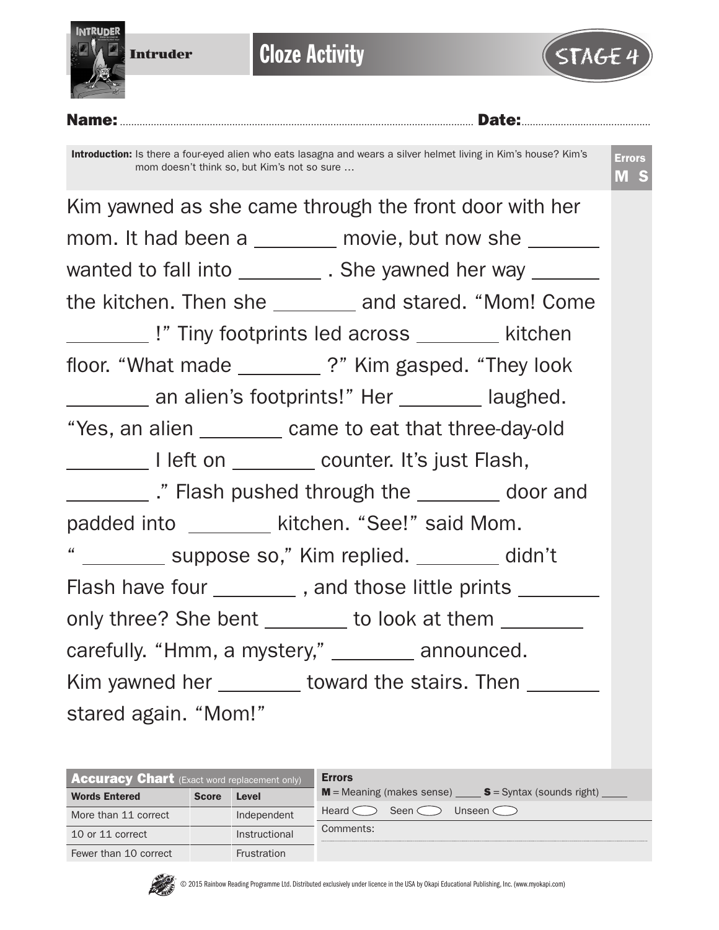

**Cloze Activity** 



Name:.............................................................................................................................. Date:..............................................

Introduction: Is there a four-eyed alien who eats lasagna and wears a silver helmet living in Kim's house? Kim's mom doesn't think so, but Kim's not so sure …

Errors M S

Kim yawned as she came through the front door with her mom. It had been a \_\_\_\_\_\_\_ movie, but now she \_\_\_\_\_\_ wanted to fall into \_\_\_\_\_\_\_\_\_\_\_. She yawned her way \_\_\_\_\_\_\_\_ the kitchen. Then she and stared. "Mom! Come **Example 12 I**" Tiny footprints led across kitchen floor. "What made \_\_\_\_\_\_\_\_?" Kim gasped. "They look an alien's footprints!" Her \_\_\_\_\_\_\_ laughed. "Yes, an alien \_\_\_\_\_\_\_\_ came to eat that three-day-old I left on \_\_\_\_\_\_\_\_ counter. It's just Flash, ." Flash pushed through the door and padded into \_\_\_\_\_\_\_\_\_ kitchen. "See!" said Mom. " \_\_\_\_\_\_\_\_ suppose so," Kim replied. \_\_\_\_\_\_\_ didn't Flash have four \_\_\_\_\_\_\_\_\_, and those little prints \_\_\_\_\_\_\_\_ only three? She bent \_\_\_\_\_\_\_ to look at them \_\_\_\_\_\_\_ carefully. "Hmm, a mystery," \_\_\_\_\_\_\_ announced. Kim yawned her \_\_\_\_\_\_\_\_ toward the stairs. Then \_\_\_\_\_\_\_ stared again. "Mom!"

| <b>Accuracy Chart</b> (Exact word replacement only) |              |               | <b>Errors</b>                                           |  |  |  |  |
|-----------------------------------------------------|--------------|---------------|---------------------------------------------------------|--|--|--|--|
| <b>Words Entered</b>                                | <b>Score</b> | <b>Level</b>  | $M$ = Meaning (makes sense) $S$ = Syntax (sounds right) |  |  |  |  |
| More than 11 correct                                |              | Independent   | Heard <<br>Unseen (<br>Seen $\subset$                   |  |  |  |  |
| 10 or 11 correct                                    |              | Instructional | Comments:                                               |  |  |  |  |
| Fewer than 10 correct                               |              | Frustration   |                                                         |  |  |  |  |

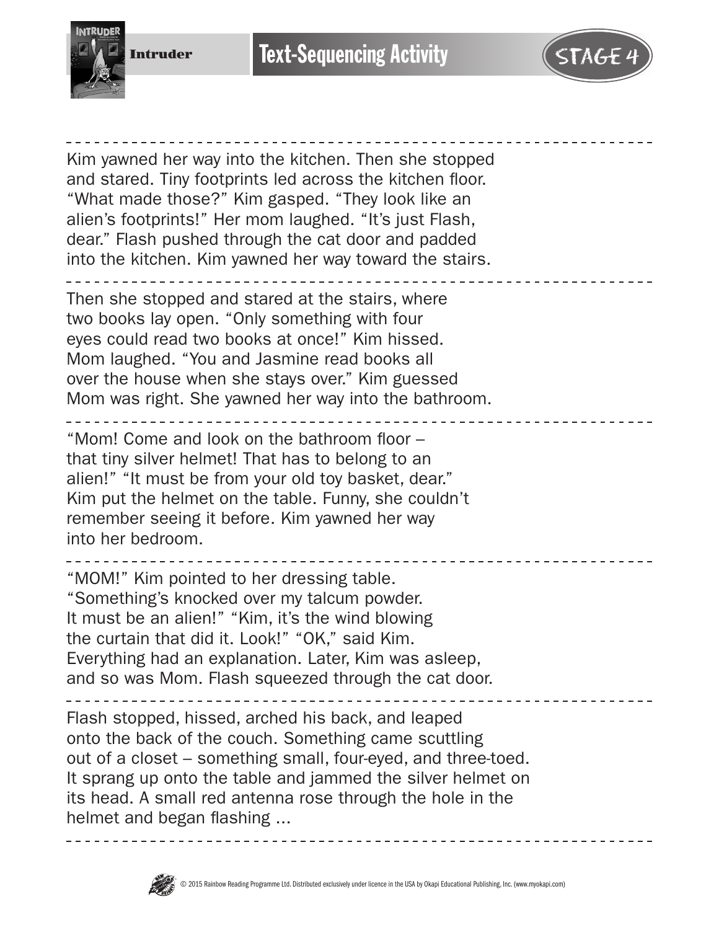



Kim yawned her way into the kitchen. Then she stopped and stared. Tiny footprints led across the kitchen floor. "What made those?" Kim gasped. "They look like an alien's footprints!" Her mom laughed. "It's just Flash, dear." Flash pushed through the cat door and padded into the kitchen. Kim yawned her way toward the stairs.

Then she stopped and stared at the stairs, where two books lay open. "Only something with four eyes could read two books at once!" Kim hissed. Mom laughed. "You and Jasmine read books all over the house when she stays over." Kim guessed Mom was right. She yawned her way into the bathroom.

"Mom! Come and look on the bathroom floor – that tiny silver helmet! That has to belong to an alien!" "It must be from your old toy basket, dear." Kim put the helmet on the table. Funny, she couldn't remember seeing it before. Kim yawned her way into her bedroom.

"MOM!" Kim pointed to her dressing table. "Something's knocked over my talcum powder. It must be an alien!" "Kim, it's the wind blowing

the curtain that did it. Look!" "OK," said Kim. Everything had an explanation. Later, Kim was asleep, and so was Mom. Flash squeezed through the cat door.

Flash stopped, hissed, arched his back, and leaped onto the back of the couch. Something came scuttling out of a closet – something small, four-eyed, and three-toed. It sprang up onto the table and jammed the silver helmet on its head. A small red antenna rose through the hole in the helmet and began flashing ...



-------------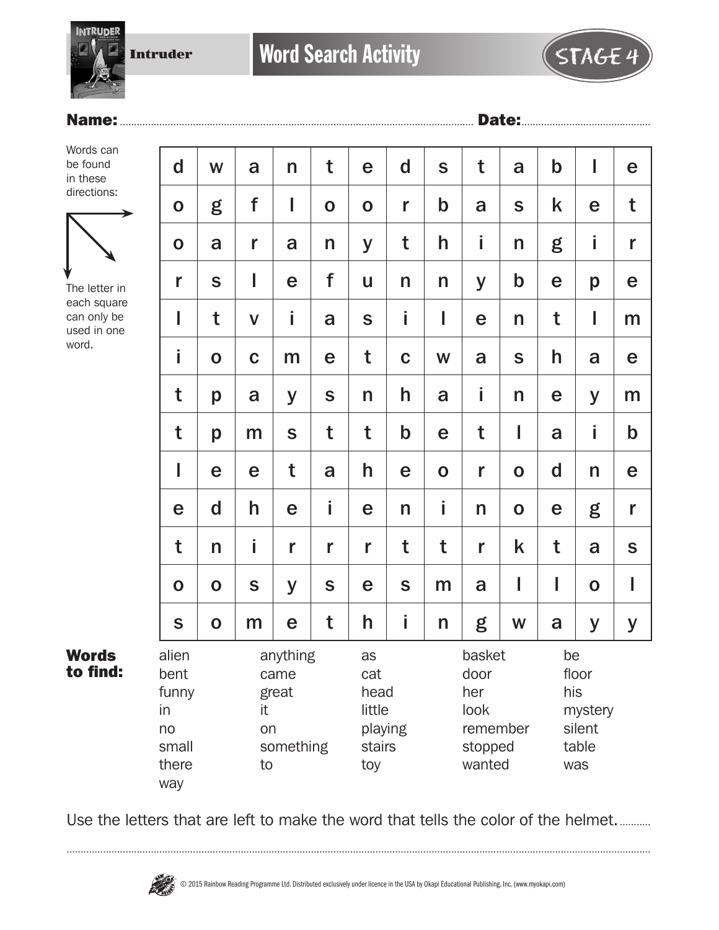Intruder

# Name:.............................................................................................................................. Date:..............................................

**INTRUDER** 



The letter in each square can only be used in one word.

Words to find:

| $\mathbf d$                                                 | W                                                        | a            | $\mathsf{n}$ | t                | e                                   | $\mathbf d$ | S           | t                                                              | a           | $\mathbf b$                                             | I           | e           |
|-------------------------------------------------------------|----------------------------------------------------------|--------------|--------------|------------------|-------------------------------------|-------------|-------------|----------------------------------------------------------------|-------------|---------------------------------------------------------|-------------|-------------|
| $\mathbf O$                                                 | g                                                        | f            | ı            | $\mathbf O$      | $\mathbf O$                         | r           | $\mathbf b$ | a                                                              | S           | k                                                       | e           | t           |
| $\mathbf 0$                                                 | a                                                        | r            | a            | n                | y                                   | t           | h           | İ                                                              | n           | g                                                       | İ           | r           |
| r                                                           | S                                                        | ı            | e            | f                | U                                   | n           | n           | y                                                              | $\mathbf b$ | e                                                       | p           | e           |
| I                                                           | t                                                        | $\mathsf{V}$ | Î            | a                | $\mathbf S$                         | İ           | I           | e                                                              | n           | t                                                       | I           | m           |
| i                                                           | $\mathbf 0$                                              | $\mathbf C$  | m            | $\mathbf e$      | t                                   | $\mathbf C$ | W           | a                                                              | S           | h                                                       | a           | e           |
| t                                                           | p                                                        | a            | y            | S                | n                                   | h           | a           | İ                                                              | n           | e                                                       | y           | m           |
| t                                                           | p                                                        | m            | S            | t                | t                                   | $\mathbf b$ | e           | t                                                              | I           | a                                                       | İ           | $\mathbf b$ |
| I                                                           | e                                                        | e            | t            | a                | h                                   | e           | $\mathbf 0$ | r                                                              | $\mathbf 0$ | $\mathbf d$                                             | n           | e           |
| e                                                           | $\mathbf d$                                              | h            | e            | İ                | e                                   | n           | İ           | n                                                              | $\mathbf 0$ | e                                                       | g           | r           |
| t                                                           | $\mathsf{n}$                                             | İ.           | r            | r                | r                                   | t           | t           | r                                                              | k           | t                                                       | a           | $\mathbf S$ |
| $\mathbf 0$                                                 | $\mathbf 0$                                              | S            | y            | S                | e                                   | S           | m           | a                                                              | I           | I                                                       | $\mathbf O$ | I           |
| $\mathbf S$                                                 | $\mathbf O$                                              | m            | e            | t                | h                                   | İ           | n           | g                                                              | W           | a                                                       | У           | y           |
| alien<br>bent<br>funny<br>in<br>no<br>small<br>there<br>way | anything<br>came<br>great<br>it<br>on<br>something<br>to |              |              | as<br>cat<br>toy | head<br>little<br>playing<br>stairs |             |             | basket<br>door<br>her<br>look<br>remember<br>stopped<br>wanted |             | be<br>floor<br>his<br>mystery<br>silent<br>table<br>was |             |             |

Use the letters that are left to make the word that tells the color of the helmet.............

................................................................................................................................................................................................................

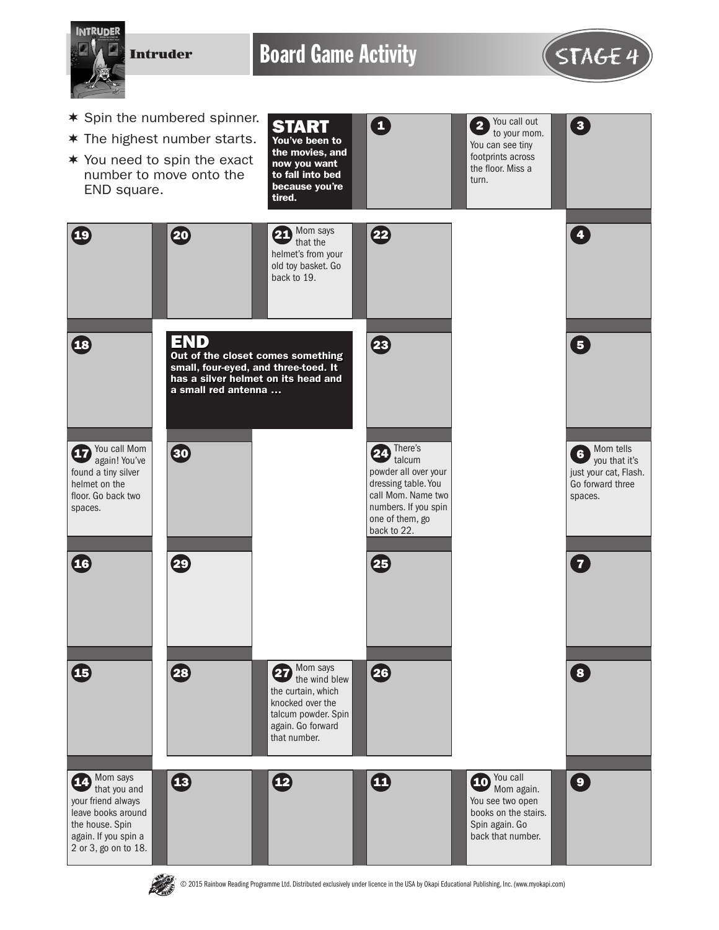

E D.

© 2015 Rainbow Reading Programme Ltd. Distributed exclusively under licence in the USA by Okapi Educational Publishing, Inc. (www.myokapi.com)